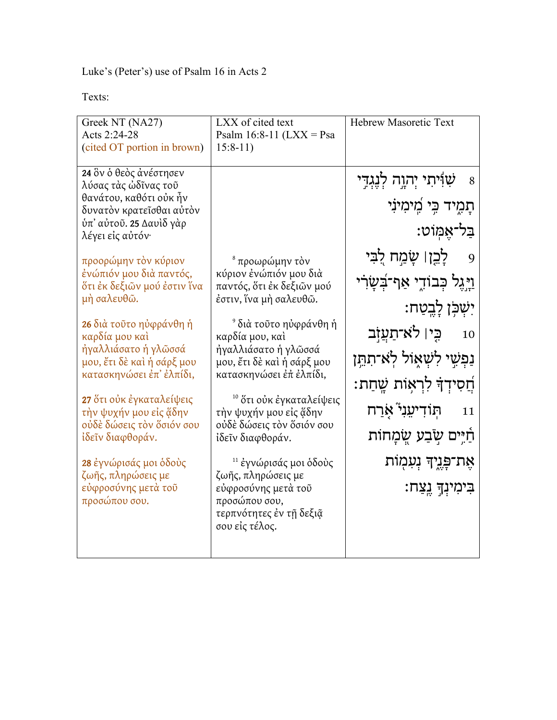Luke's (Peter's) use of Psalm 16 in Acts 2

Texts:

| Greek NT (NA27)<br>Acts 2:24-28<br>(cited OT portion in brown)                                                                                                                                                                                                                                                                                                                                                                                                                                                                                                                     | LXX of cited text<br>Psalm $16:8-11$ (LXX = Psa<br>$15:8-11)$                                                                                                                                                                                                                                                                                                                                                                                                                                                          | <b>Hebrew Masoretic Text</b>                                                                                                                                                                                                                                                                                                                                                          |
|------------------------------------------------------------------------------------------------------------------------------------------------------------------------------------------------------------------------------------------------------------------------------------------------------------------------------------------------------------------------------------------------------------------------------------------------------------------------------------------------------------------------------------------------------------------------------------|------------------------------------------------------------------------------------------------------------------------------------------------------------------------------------------------------------------------------------------------------------------------------------------------------------------------------------------------------------------------------------------------------------------------------------------------------------------------------------------------------------------------|---------------------------------------------------------------------------------------------------------------------------------------------------------------------------------------------------------------------------------------------------------------------------------------------------------------------------------------------------------------------------------------|
| 24 ὃν ὁ θεὸς ἀνέστησεν<br>λύσας τὰς ὦδῖνας τοῦ<br>θανάτου, καθότι ούκ ἦν<br>δυνατόν κρατεΐσθαι αύτόν<br>ύπ' αύτοῦ. 25 Δαυὶδ γὰρ<br>λέγει είς αὐτόν·<br>προορώμην τὸν κύριον<br>ένώπιόν μου διά παντός,<br>ότι ἐκ δεξιῶν μού ἐστιν ἵνα<br>μή σαλευθώ.<br>26 διά τοῦτο ηὐφράνθη ή<br>καρδία μου καί<br>ήγαλλιάσατο ή γλώσσά<br>μου, ἔτι δὲ καὶ ἡ σάρξ μου<br>κατασκηνώσει έπ' έλπίδι,<br>27 ὅτι οὐκ ἐγκαταλείψεις<br>τὴν ψυχήν μου εἰς ἄδην<br>ούδε δώσεις τον δσιόν σου<br>ίδεῖν διαφθοράν.<br>28 έγνώρισάς μοι όδους<br>ζωῆς, πληρώσεις με<br>εύφροσύνης μετά τοῦ<br>προσώπου σου. | <sup>8</sup> προωρώμην τὸν<br>κύριον ένώπιόν μου διά<br>παντός, ὅτι ἐκ δεξιῶν μού<br>έστιν, ίνα μή σαλευθώ.<br><sup>9</sup> διὰ τοῦτο ηὐφράνθη ἡ<br>καρδία μου, καὶ<br>ήγαλλιάσατο ή γλῶσσά<br>μου, ἔτι δὲ καὶ ἡ σάρξ μου<br>κατασκηνώσει έπ έλπίδι,<br><sup>10</sup> ὅτι οὐκ ἐγκαταλείψεις<br>τὴν ψυχήν μου εἰς ἄδην<br>οὐδὲ δώσεις τὸν ὅσιόν σου<br>ίδεῖν διαφθοράν.<br><sup>11</sup> έγνώρισάς μοι όδοὺς<br>ζωῆς, πληρώσεις με<br>εύφροσύνης μετά τοῦ<br>προσώπου σου,<br>τερπνότητες έν τῆ δεξιᾶ<br>σου είς τέλος. | ּשִׂוּיִתִי יְהְוֶה לְנֶגְדִי<br>8<br>תָמֶיד בִּי מִימִיּנִי<br>בַל־אֲמְוֹט:<br>ּלָבֶן। שָׂמַח לֻבִּי<br>9<br>וַיְּגֵל כִּבוֹדֵי אַף־בִּשָּׂרִי<br>יִשְׁכְּן לָבֵטַח:<br>ּבִּי  לֹאִ־תַעֲזָֽב<br>10<br>נַפְשִׁי לִשְׁאֲוֹל לְאִ־תָּתֵן<br>ּחֲסִידְךָּ לִרְאָוֹת שְֳׁחַת:<br>ּהְוֹדִיעֵנִי אָרַח<br>11<br>חַֿיִּיִם שְׂבַע שֳמָחוֹת<br>אֶת־פְּגֶיְךָ נְעִמְוֹת<br>ּבִּימִינְךָּ וֶצַח: |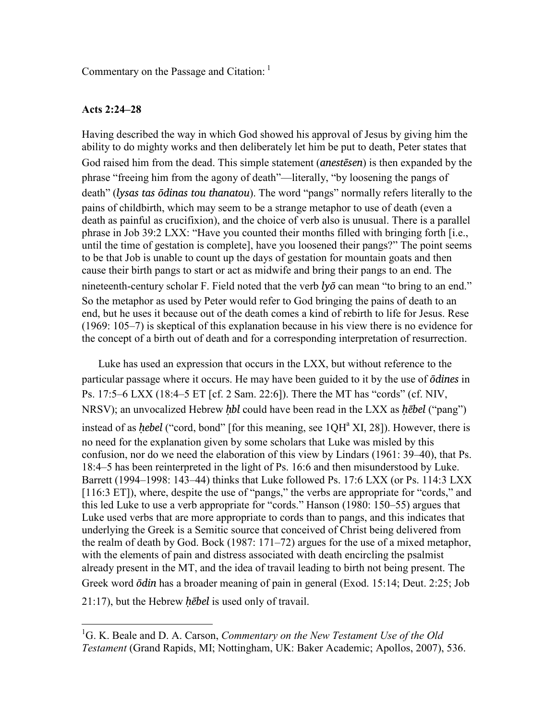Commentary on the Passage and Citation:<sup>1</sup>

## **Acts 2:24–28**

-

Having described the way in which God showed his approval of Jesus by giving him the ability to do mighty works and then deliberately let him be put to death, Peter states that God raised him from the dead. This simple statement (*anestēsen*) is then expanded by the phrase "freeing him from the agony of death"—literally, "by loosening the pangs of death" (*lysas tas ōdinas tou thanatou*). The word "pangs" normally refers literally to the pains of childbirth, which may seem to be a strange metaphor to use of death (even a death as painful as crucifixion), and the choice of verb also is unusual. There is a parallel phrase in Job 39:2 LXX: "Have you counted their months filled with bringing forth [i.e., until the time of gestation is complete], have you loosened their pangs?" The point seems to be that Job is unable to count up the days of gestation for mountain goats and then cause their birth pangs to start or act as midwife and bring their pangs to an end. The nineteenth-century scholar F. Field noted that the verb *lyō* can mean "to bring to an end." So the metaphor as used by Peter would refer to God bringing the pains of death to an end, but he uses it because out of the death comes a kind of rebirth to life for Jesus. Rese (1969: 105–7) is skeptical of this explanation because in his view there is no evidence for the concept of a birth out of death and for a corresponding interpretation of resurrection.

Luke has used an expression that occurs in the LXX, but without reference to the particular passage where it occurs. He may have been guided to it by the use of *ōdines* in Ps. 17:5–6 LXX (18:4–5 ET [cf. 2 Sam. 22:6]). There the MT has "cords" (cf. NIV, NRSV); an unvocalized Hebrew *ḥbl* could have been read in the LXX as *ḥēbel* ("pang") instead of as *hebel* ("cord, bond" [for this meaning, see 1QH<sup>a</sup> XI, 28]). However, there is no need for the explanation given by some scholars that Luke was misled by this confusion, nor do we need the elaboration of this view by Lindars (1961: 39–40), that Ps. 18:4–5 has been reinterpreted in the light of Ps. 16:6 and then misunderstood by Luke. Barrett (1994–1998: 143–44) thinks that Luke followed Ps. 17:6 LXX (or Ps. 114:3 LXX [116:3 ET]), where, despite the use of "pangs," the verbs are appropriate for "cords," and this led Luke to use a verb appropriate for "cords." Hanson (1980: 150–55) argues that Luke used verbs that are more appropriate to cords than to pangs, and this indicates that underlying the Greek is a Semitic source that conceived of Christ being delivered from the realm of death by God. Bock (1987: 171–72) argues for the use of a mixed metaphor, with the elements of pain and distress associated with death encircling the psalmist already present in the MT, and the idea of travail leading to birth not being present. The Greek word *ōdin* has a broader meaning of pain in general (Exod. 15:14; Deut. 2:25; Job 21:17), but the Hebrew *ḥēbel* is used only of travail.

 ${}^{1}$ G. K. Beale and D. A. Carson, *Commentary on the New Testament Use of the Old Testament* (Grand Rapids, MI; Nottingham, UK: Baker Academic; Apollos, 2007), 536.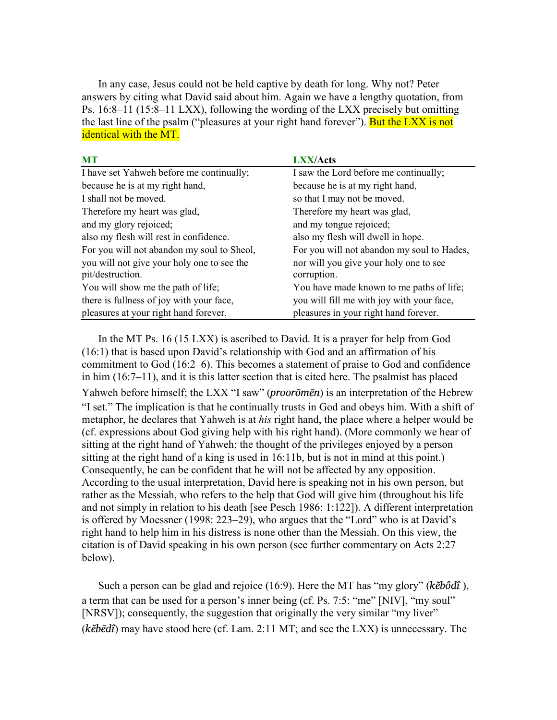In any case, Jesus could not be held captive by death for long. Why not? Peter answers by citing what David said about him. Again we have a lengthy quotation, from Ps. 16:8–11 (15:8–11 LXX), following the wording of the LXX precisely but omitting the last line of the psalm ("pleasures at your right hand forever"). But the LXX is not identical with the MT.

| <b>MT</b>                                  | <b>LXX/Acts</b>                            |
|--------------------------------------------|--------------------------------------------|
| I have set Yahweh before me continually;   | I saw the Lord before me continually;      |
| because he is at my right hand,            | because he is at my right hand,            |
| I shall not be moved.                      | so that I may not be moved.                |
| Therefore my heart was glad,               | Therefore my heart was glad,               |
| and my glory rejoiced;                     | and my tongue rejoiced;                    |
| also my flesh will rest in confidence.     | also my flesh will dwell in hope.          |
| For you will not abandon my soul to Sheol, | For you will not abandon my soul to Hades, |
| you will not give your holy one to see the | nor will you give your holy one to see     |
| pit/destruction.                           | corruption.                                |
| You will show me the path of life;         | You have made known to me paths of life;   |
| there is fullness of joy with your face,   | you will fill me with joy with your face,  |
| pleasures at your right hand forever.      | pleasures in your right hand forever.      |

In the MT Ps. 16 (15 LXX) is ascribed to David. It is a prayer for help from God (16:1) that is based upon David's relationship with God and an affirmation of his commitment to God (16:2–6). This becomes a statement of praise to God and confidence in him (16:7–11), and it is this latter section that is cited here. The psalmist has placed Yahweh before himself; the LXX "I saw" (*proorōmēn*) is an interpretation of the Hebrew "I set." The implication is that he continually trusts in God and obeys him. With a shift of metaphor, he declares that Yahweh is at *his* right hand, the place where a helper would be (cf. expressions about God giving help with his right hand). (More commonly we hear of sitting at the right hand of Yahweh; the thought of the privileges enjoyed by a person sitting at the right hand of a king is used in 16:11b, but is not in mind at this point.) Consequently, he can be confident that he will not be affected by any opposition. According to the usual interpretation, David here is speaking not in his own person, but rather as the Messiah, who refers to the help that God will give him (throughout his life and not simply in relation to his death [see Pesch 1986: 1:122]). A different interpretation is offered by Moessner (1998: 223–29), who argues that the "Lord" who is at David's right hand to help him in his distress is none other than the Messiah. On this view, the citation is of David speaking in his own person (see further commentary on Acts 2:27 below).

Such a person can be glad and rejoice (16:9). Here the MT has "my glory" (*kĕbôdî*), a term that can be used for a person's inner being (cf. Ps. 7:5: "me" [NIV], "my soul" [NRSV]); consequently, the suggestion that originally the very similar "my liver" (*kĕbēdî*) may have stood here (cf. Lam. 2:11 MT; and see the LXX) is unnecessary. The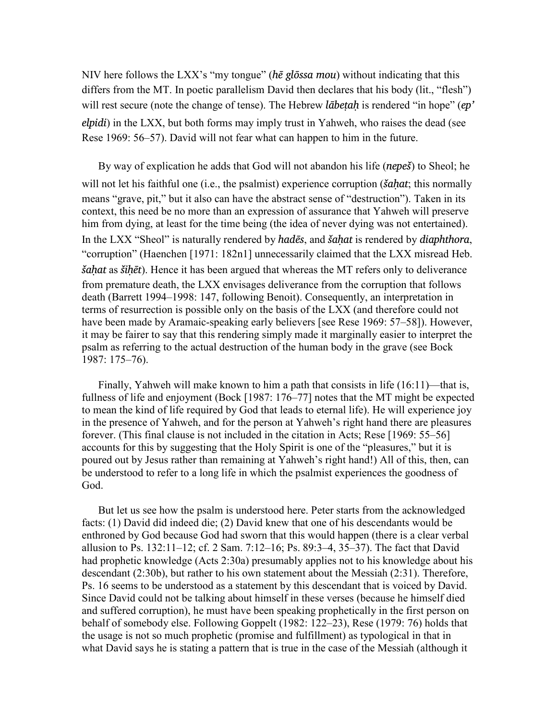NIV here follows the LXX's "my tongue" (*hē glōssa mou*) without indicating that this differs from the MT. In poetic parallelism David then declares that his body (lit., "flesh") will rest secure (note the change of tense). The Hebrew *lābeṭaḥ* is rendered "in hope" (*ep' elpidi*) in the LXX, but both forms may imply trust in Yahweh, who raises the dead (see Rese 1969: 56–57). David will not fear what can happen to him in the future.

By way of explication he adds that God will not abandon his life (*nepeš*) to Sheol; he will not let his faithful one (i.e., the psalmist) experience corruption (*šaḥat*; this normally means "grave, pit," but it also can have the abstract sense of "destruction"). Taken in its context, this need be no more than an expression of assurance that Yahweh will preserve him from dying, at least for the time being (the idea of never dying was not entertained). In the LXX "Sheol" is naturally rendered by *hades*, and *šahat* is rendered by *diaphthora*, "corruption" (Haenchen [1971: 182n1] unnecessarily claimed that the LXX misread Heb. *šaḥat* as *šiḥēt*). Hence it has been argued that whereas the MT refers only to deliverance from premature death, the LXX envisages deliverance from the corruption that follows death (Barrett 1994–1998: 147, following Benoit). Consequently, an interpretation in terms of resurrection is possible only on the basis of the LXX (and therefore could not have been made by Aramaic-speaking early believers [see Rese 1969: 57–58]). However, it may be fairer to say that this rendering simply made it marginally easier to interpret the psalm as referring to the actual destruction of the human body in the grave (see Bock 1987: 175–76).

Finally, Yahweh will make known to him a path that consists in life (16:11)—that is, fullness of life and enjoyment (Bock [1987: 176–77] notes that the MT might be expected to mean the kind of life required by God that leads to eternal life). He will experience joy in the presence of Yahweh, and for the person at Yahweh's right hand there are pleasures forever. (This final clause is not included in the citation in Acts; Rese [1969: 55–56] accounts for this by suggesting that the Holy Spirit is one of the "pleasures," but it is poured out by Jesus rather than remaining at Yahweh's right hand!) All of this, then, can be understood to refer to a long life in which the psalmist experiences the goodness of God.

But let us see how the psalm is understood here. Peter starts from the acknowledged facts: (1) David did indeed die; (2) David knew that one of his descendants would be enthroned by God because God had sworn that this would happen (there is a clear verbal allusion to Ps. 132:11–12; cf. 2 Sam. 7:12–16; Ps. 89:3–4, 35–37). The fact that David had prophetic knowledge (Acts 2:30a) presumably applies not to his knowledge about his descendant (2:30b), but rather to his own statement about the Messiah (2:31). Therefore, Ps. 16 seems to be understood as a statement by this descendant that is voiced by David. Since David could not be talking about himself in these verses (because he himself died and suffered corruption), he must have been speaking prophetically in the first person on behalf of somebody else. Following Goppelt (1982: 122–23), Rese (1979: 76) holds that the usage is not so much prophetic (promise and fulfillment) as typological in that in what David says he is stating a pattern that is true in the case of the Messiah (although it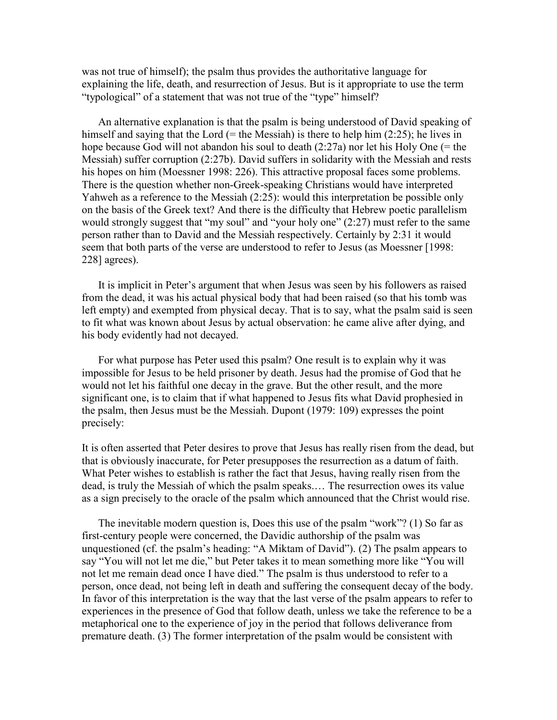was not true of himself); the psalm thus provides the authoritative language for explaining the life, death, and resurrection of Jesus. But is it appropriate to use the term "typological" of a statement that was not true of the "type" himself?

An alternative explanation is that the psalm is being understood of David speaking of himself and saying that the Lord (= the Messiah) is there to help him  $(2:25)$ ; he lives in hope because God will not abandon his soul to death (2:27a) nor let his Holy One (= the Messiah) suffer corruption (2:27b). David suffers in solidarity with the Messiah and rests his hopes on him (Moessner 1998: 226). This attractive proposal faces some problems. There is the question whether non-Greek-speaking Christians would have interpreted Yahweh as a reference to the Messiah (2:25): would this interpretation be possible only on the basis of the Greek text? And there is the difficulty that Hebrew poetic parallelism would strongly suggest that "my soul" and "your holy one" (2:27) must refer to the same person rather than to David and the Messiah respectively. Certainly by 2:31 it would seem that both parts of the verse are understood to refer to Jesus (as Moessner [1998: 228] agrees).

It is implicit in Peter's argument that when Jesus was seen by his followers as raised from the dead, it was his actual physical body that had been raised (so that his tomb was left empty) and exempted from physical decay. That is to say, what the psalm said is seen to fit what was known about Jesus by actual observation: he came alive after dying, and his body evidently had not decayed.

For what purpose has Peter used this psalm? One result is to explain why it was impossible for Jesus to be held prisoner by death. Jesus had the promise of God that he would not let his faithful one decay in the grave. But the other result, and the more significant one, is to claim that if what happened to Jesus fits what David prophesied in the psalm, then Jesus must be the Messiah. Dupont (1979: 109) expresses the point precisely:

It is often asserted that Peter desires to prove that Jesus has really risen from the dead, but that is obviously inaccurate, for Peter presupposes the resurrection as a datum of faith. What Peter wishes to establish is rather the fact that Jesus, having really risen from the dead, is truly the Messiah of which the psalm speaks.… The resurrection owes its value as a sign precisely to the oracle of the psalm which announced that the Christ would rise.

The inevitable modern question is, Does this use of the psalm "work"? (1) So far as first-century people were concerned, the Davidic authorship of the psalm was unquestioned (cf. the psalm's heading: "A Miktam of David"). (2) The psalm appears to say "You will not let me die," but Peter takes it to mean something more like "You will not let me remain dead once I have died." The psalm is thus understood to refer to a person, once dead, not being left in death and suffering the consequent decay of the body. In favor of this interpretation is the way that the last verse of the psalm appears to refer to experiences in the presence of God that follow death, unless we take the reference to be a metaphorical one to the experience of joy in the period that follows deliverance from premature death. (3) The former interpretation of the psalm would be consistent with